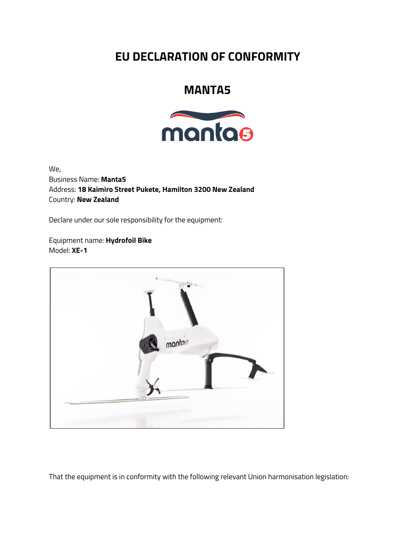## **EU DECLARATION OF CONFORMITY**

## **MANTA5**



We, Business Name: **Manta5** Address: **18 Kaimiro Street Pukete, Hamilton 3200 New Zealand** Country: **New Zealand**

Declare under our sole responsibility for the equipment:

Equipment name: **Hydrofoil Bike** Model: **XE-1**



That the equipment is in conformity with the following relevant Union harmonisation legislation: